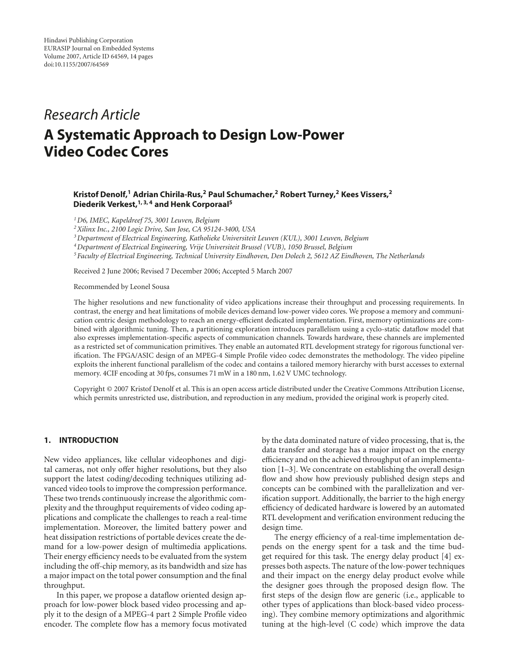## *Research Article*

# **A Systematic Approach to Design Low-Power Video Codec Cores**

## **Kristof Denolf,1 Adrian Chirila-Rus,2 Paul Schumacher,2 Robert Turney,2 Kees Vissers,2 Diederik Verkest,1, 3, 4 and Henk Corporaal5**

*1D6, IMEC, Kapeldreef 75, 3001 Leuven, Belgium*

*2Xilinx Inc., 2100 Logic Drive, San Jose, CA 95124-3400, USA*

*3Department of Electrical Engineering, Katholieke Universiteit Leuven (KUL), 3001 Leuven, Belgium*

*4Department of Electrical Engineering, Vrije Universiteit Brussel (VUB), 1050 Brussel, Belgium*

*<sup>5</sup> Faculty of Electrical Engineering, Technical University Eindhoven, Den Dolech 2, 5612 AZ Eindhoven, The Netherlands*

Received 2 June 2006; Revised 7 December 2006; Accepted 5 March 2007

Recommended by Leonel Sousa

The higher resolutions and new functionality of video applications increase their throughput and processing requirements. In contrast, the energy and heat limitations of mobile devices demand low-power video cores. We propose a memory and communication centric design methodology to reach an energy-efficient dedicated implementation. First, memory optimizations are combined with algorithmic tuning. Then, a partitioning exploration introduces parallelism using a cyclo-static dataflow model that also expresses implementation-specific aspects of communication channels. Towards hardware, these channels are implemented as a restricted set of communication primitives. They enable an automated RTL development strategy for rigorous functional verification. The FPGA/ASIC design of an MPEG-4 Simple Profile video codec demonstrates the methodology. The video pipeline exploits the inherent functional parallelism of the codec and contains a tailored memory hierarchy with burst accesses to external memory. 4CIF encoding at 30 fps, consumes 71 mW in a 180 nm, 1.62 V UMC technology.

Copyright © 2007 Kristof Denolf et al. This is an open access article distributed under the Creative Commons Attribution License, which permits unrestricted use, distribution, and reproduction in any medium, provided the original work is properly cited.

#### **1. INTRODUCTION**

New video appliances, like cellular videophones and digital cameras, not only offer higher resolutions, but they also support the latest coding/decoding techniques utilizing advanced video tools to improve the compression performance. These two trends continuously increase the algorithmic complexity and the throughput requirements of video coding applications and complicate the challenges to reach a real-time implementation. Moreover, the limited battery power and heat dissipation restrictions of portable devices create the demand for a low-power design of multimedia applications. Their energy efficiency needs to be evaluated from the system including the off-chip memory, as its bandwidth and size has a major impact on the total power consumption and the final throughput.

In this paper, we propose a dataflow oriented design approach for low-power block based video processing and apply it to the design of a MPEG-4 part 2 Simple Profile video encoder. The complete flow has a memory focus motivated by the data dominated nature of video processing, that is, the data transfer and storage has a major impact on the energy efficiency and on the achieved throughput of an implementation [\[1](#page-11-1)[–3\]](#page-11-2). We concentrate on establishing the overall design flow and show how previously published design steps and concepts can be combined with the parallelization and verification support. Additionally, the barrier to the high energy efficiency of dedicated hardware is lowered by an automated RTL development and verification environment reducing the design time.

The energy efficiency of a real-time implementation depends on the energy spent for a task and the time budget required for this task. The energy delay product [\[4](#page-11-3)] expresses both aspects. The nature of the low-power techniques and their impact on the energy delay product evolve while the designer goes through the proposed design flow. The first steps of the design flow are generic (i.e., applicable to other types of applications than block-based video processing). They combine memory optimizations and algorithmic tuning at the high-level (C code) which improve the data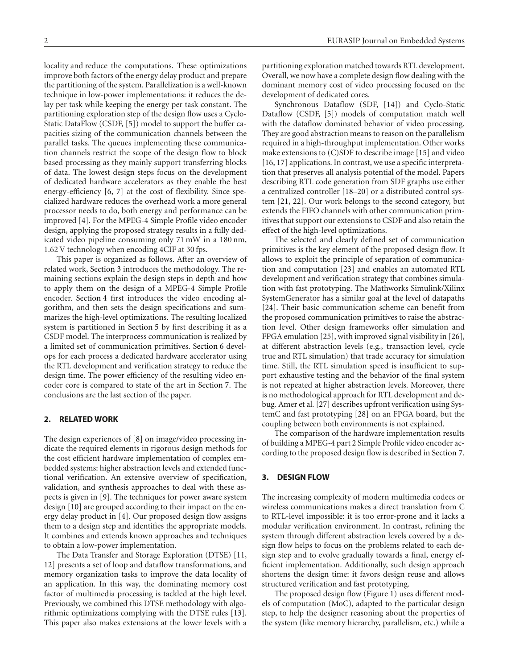locality and reduce the computations. These optimizations improve both factors of the energy delay product and prepare the partitioning of the system. Parallelization is a well-known technique in low-power implementations: it reduces the delay per task while keeping the energy per task constant. The partitioning exploration step of the design flow uses a Cyclo-Static DataFlow (CSDF, [\[5\]](#page-11-4)) model to support the buffer capacities sizing of the communication channels between the parallel tasks. The queues implementing these communication channels restrict the scope of the design flow to block based processing as they mainly support transferring blocks of data. The lowest design steps focus on the development of dedicated hardware accelerators as they enable the best energy-efficiency [\[6,](#page-11-5) [7\]](#page-11-6) at the cost of flexibility. Since specialized hardware reduces the overhead work a more general processor needs to do, both energy and performance can be improved [\[4](#page-11-3)]. For the MPEG-4 Simple Profile video encoder design, applying the proposed strategy results in a fully dedicated video pipeline consuming only 71 mW in a 180 nm, 1.62 V technology when encoding 4CIF at 30 fps.

This paper is organized as follows. After an overview of related work, [Section 3](#page-1-0) introduces the methodology. The remaining sections explain the design steps in depth and how to apply them on the design of a MPEG-4 Simple Profile encoder. [Section 4](#page-3-0) first introduces the video encoding algorithm, and then sets the design specifications and summarizes the high-level optimizations. The resulting localized system is partitioned in [Section 5](#page-4-0) by first describing it as a CSDF model. The interprocess communication is realized by a limited set of communication primitives. [Section 6](#page-6-0) develops for each process a dedicated hardware accelerator using the RTL development and verification strategy to reduce the design time. The power efficiency of the resulting video encoder core is compared to state of the art in [Section 7.](#page-7-0) The conclusions are the last section of the paper.

#### **2. RELATED WORK**

The design experiences of [\[8\]](#page-11-7) on image/video processing indicate the required elements in rigorous design methods for the cost efficient hardware implementation of complex embedded systems: higher abstraction levels and extended functional verification. An extensive overview of specification, validation, and synthesis approaches to deal with these aspects is given in [\[9](#page-11-8)]. The techniques for power aware system design [\[10](#page-11-9)] are grouped according to their impact on the energy delay product in [\[4\]](#page-11-3). Our proposed design flow assigns them to a design step and identifies the appropriate models. It combines and extends known approaches and techniques to obtain a low-power implementation.

The Data Transfer and Storage Exploration (DTSE) [\[11,](#page-11-10) [12\]](#page-11-11) presents a set of loop and dataflow transformations, and memory organization tasks to improve the data locality of an application. In this way, the dominating memory cost factor of multimedia processing is tackled at the high level. Previously, we combined this DTSE methodology with algorithmic optimizations complying with the DTSE rules [\[13](#page-11-12)]. This paper also makes extensions at the lower levels with a

partitioning exploration matched towards RTL development. Overall, we now have a complete design flow dealing with the dominant memory cost of video processing focused on the development of dedicated cores.

Synchronous Dataflow (SDF, [\[14](#page-11-13)]) and Cyclo-Static Dataflow (CSDF, [\[5](#page-11-4)]) models of computation match well with the dataflow dominated behavior of video processing. They are good abstraction means to reason on the parallelism required in a high-throughput implementation. Other works make extensions to (C)SDF to describe image [\[15](#page-11-14)] and video [\[16](#page-11-15), [17](#page-11-16)] applications. In contrast, we use a specific interpretation that preserves all analysis potential of the model. Papers describing RTL code generation from SDF graphs use either a centralized controller [\[18](#page-12-0)[–20\]](#page-12-1) or a distributed control system [\[21,](#page-12-2) [22](#page-12-3)]. Our work belongs to the second category, but extends the FIFO channels with other communication primitives that support our extensions to CSDF and also retain the effect of the high-level optimizations.

The selected and clearly defined set of communication primitives is the key element of the proposed design flow. It allows to exploit the principle of separation of communication and computation [\[23](#page-12-4)] and enables an automated RTL development and verification strategy that combines simulation with fast prototyping. The Mathworks Simulink/Xilinx SystemGenerator has a similar goal at the level of datapaths [\[24](#page-12-5)]. Their basic communication scheme can benefit from the proposed communication primitives to raise the abstraction level. Other design frameworks offer simulation and FPGA emulation [\[25](#page-12-6)], with improved signal visibility in [\[26](#page-12-7)], at different abstraction levels (e.g., transaction level, cycle true and RTL simulation) that trade accuracy for simulation time. Still, the RTL simulation speed is insufficient to support exhaustive testing and the behavior of the final system is not repeated at higher abstraction levels. Moreover, there is no methodological approach for RTL development and debug. Amer et al. [\[27](#page-12-8)] describes upfront verification using SystemC and fast prototyping [\[28](#page-12-9)] on an FPGA board, but the coupling between both environments is not explained.

The comparison of the hardware implementation results of building a MPEG-4 part 2 Simple Profile video encoder according to the proposed design flow is described in [Section 7.](#page-7-0)

#### <span id="page-1-0"></span>**3. DESIGN FLOW**

The increasing complexity of modern multimedia codecs or wireless communications makes a direct translation from C to RTL-level impossible: it is too error-prone and it lacks a modular verification environment. In contrast, refining the system through different abstraction levels covered by a design flow helps to focus on the problems related to each design step and to evolve gradually towards a final, energy efficient implementation. Additionally, such design approach shortens the design time: it favors design reuse and allows structured verification and fast prototyping.

The proposed design flow [\(Figure 1\)](#page-2-0) uses different models of computation (MoC), adapted to the particular design step, to help the designer reasoning about the properties of the system (like memory hierarchy, parallelism, etc.) while a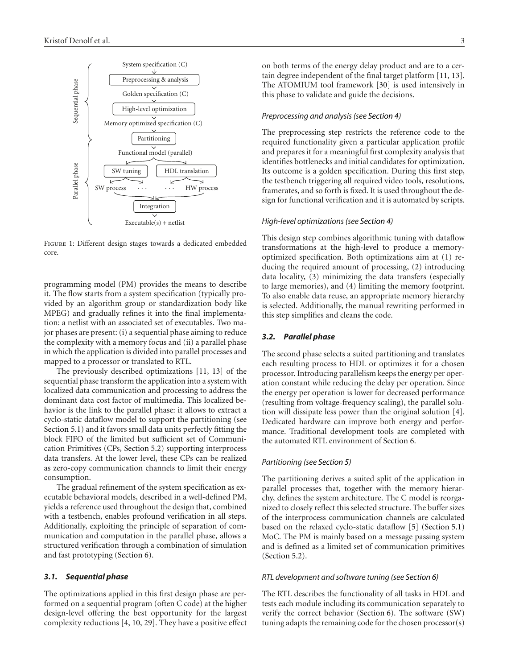

<span id="page-2-0"></span>Figure 1: Different design stages towards a dedicated embedded core.

programming model (PM) provides the means to describe it. The flow starts from a system specification (typically provided by an algorithm group or standardization body like MPEG) and gradually refines it into the final implementation: a netlist with an associated set of executables. Two major phases are present: (i) a sequential phase aiming to reduce the complexity with a memory focus and (ii) a parallel phase in which the application is divided into parallel processes and mapped to a processor or translated to RTL.

The previously described optimizations [\[11](#page-11-10), [13\]](#page-11-12) of the sequential phase transform the application into a system with localized data communication and processing to address the dominant data cost factor of multimedia. This localized behavior is the link to the parallel phase: it allows to extract a cyclo-static dataflow model to support the partitioning (see [Section 5.1\)](#page-4-1) and it favors small data units perfectly fitting the block FIFO of the limited but sufficient set of Communication Primitives (CPs, [Section 5.2\)](#page-5-0) supporting interprocess data transfers. At the lower level, these CPs can be realized as zero-copy communication channels to limit their energy consumption.

The gradual refinement of the system specification as executable behavioral models, described in a well-defined PM, yields a reference used throughout the design that, combined with a testbench, enables profound verification in all steps. Additionally, exploiting the principle of separation of communication and computation in the parallel phase, allows a structured verification through a combination of simulation and fast prototyping [\(Section 6\)](#page-6-0).

#### *3.1. Sequential phase*

The optimizations applied in this first design phase are performed on a sequential program (often C code) at the higher design-level offering the best opportunity for the largest complexity reductions [\[4,](#page-11-3) [10,](#page-11-9) [29](#page-12-10)]. They have a positive effect on both terms of the energy delay product and are to a certain degree independent of the final target platform [\[11,](#page-11-10) [13](#page-11-12)]. The ATOMIUM tool framework [\[30\]](#page-12-11) is used intensively in this phase to validate and guide the decisions.

#### *Preprocessing and analysis (see [Section 4\)](#page-3-0)*

The preprocessing step restricts the reference code to the required functionality given a particular application profile and prepares it for a meaningful first complexity analysis that identifies bottlenecks and initial candidates for optimization. Its outcome is a golden specification. During this first step, the testbench triggering all required video tools, resolutions, framerates, and so forth is fixed. It is used throughout the design for functional verification and it is automated by scripts.

#### *High-level optimizations (see [Section 4\)](#page-3-0)*

This design step combines algorithmic tuning with dataflow transformations at the high-level to produce a memoryoptimized specification. Both optimizations aim at (1) reducing the required amount of processing, (2) introducing data locality, (3) minimizing the data transfers (especially to large memories), and (4) limiting the memory footprint. To also enable data reuse, an appropriate memory hierarchy is selected. Additionally, the manual rewriting performed in this step simplifies and cleans the code.

## *3.2. Parallel phase*

The second phase selects a suited partitioning and translates each resulting process to HDL or optimizes it for a chosen processor. Introducing parallelism keeps the energy per operation constant while reducing the delay per operation. Since the energy per operation is lower for decreased performance (resulting from voltage-frequency scaling), the parallel solution will dissipate less power than the original solution [\[4](#page-11-3)]. Dedicated hardware can improve both energy and performance. Traditional development tools are completed with the automated RTL environment of [Section 6.](#page-6-0)

#### *Partitioning (see [Section 5\)](#page-4-0)*

The partitioning derives a suited split of the application in parallel processes that, together with the memory hierarchy, defines the system architecture. The C model is reorganized to closely reflect this selected structure. The buffer sizes of the interprocess communication channels are calculated based on the relaxed cyclo-static dataflow [\[5](#page-11-4)] [\(Section 5.1\)](#page-4-1) MoC. The PM is mainly based on a message passing system and is defined as a limited set of communication primitives [\(Section 5.2\)](#page-5-0).

#### *RTL development and software tuning (see [Section 6\)](#page-6-0)*

The RTL describes the functionality of all tasks in HDL and tests each module including its communication separately to verify the correct behavior [\(Section 6\)](#page-6-0). The software (SW) tuning adapts the remaining code for the chosen processor(s)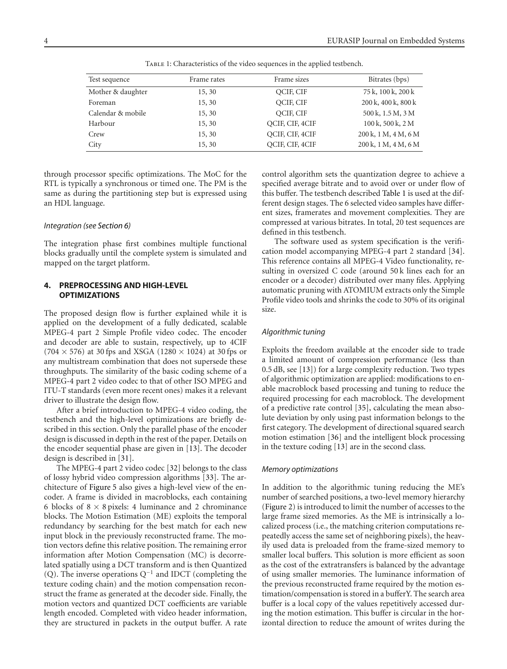<span id="page-3-1"></span>

| Test sequence     | Frame rates | Frame sizes     | Bitrates (bps)                                |  |  |
|-------------------|-------------|-----------------|-----------------------------------------------|--|--|
| Mother & daughter | 15, 30      | OCIF, CIF       | 75 k, 100 k, 200 k                            |  |  |
| Foreman           | 15, 30      | OCIF, CIF       | $200 \text{ k}, 400 \text{ k}, 800 \text{ k}$ |  |  |
| Calendar & mobile | 15, 30      | OCIF, CIF       | 500 k, 1.5 M, 3 M                             |  |  |
| Harbour           | 15, 30      | OCIF, CIF, 4CIF | $100 \text{ k}, 500 \text{ k}, 2 \text{ M}$   |  |  |
| Crew              | 15, 30      | OCIF, CIF, 4CIF | 200 k, 1 M, 4 M, 6 M                          |  |  |
| City              | 15, 30      | OCIF, CIF, 4CIF | 200 k, 1 M, 4 M, 6 M                          |  |  |

Table 1: Characteristics of the video sequences in the applied testbench.

through processor specific optimizations. The MoC for the RTL is typically a synchronous or timed one. The PM is the same as during the partitioning step but is expressed using an HDL language.

#### *Integration (see [Section 6\)](#page-6-0)*

The integration phase first combines multiple functional blocks gradually until the complete system is simulated and mapped on the target platform.

## <span id="page-3-0"></span>**4. PREPROCESSING AND HIGH-LEVEL OPTIMIZATIONS**

The proposed design flow is further explained while it is applied on the development of a fully dedicated, scalable MPEG-4 part 2 Simple Profile video codec. The encoder and decoder are able to sustain, respectively, up to 4CIF  $(704 \times 576)$  at 30 fps and XSGA  $(1280 \times 1024)$  at 30 fps or any multistream combination that does not supersede these throughputs. The similarity of the basic coding scheme of a MPEG-4 part 2 video codec to that of other ISO MPEG and ITU-T standards (even more recent ones) makes it a relevant driver to illustrate the design flow.

After a brief introduction to MPEG-4 video coding, the testbench and the high-level optimizations are briefly described in this section. Only the parallel phase of the encoder design is discussed in depth in the rest of the paper. Details on the encoder sequential phase are given in [\[13](#page-11-12)]. The decoder design is described in [\[31\]](#page-12-12).

The MPEG-4 part 2 video codec [\[32](#page-12-13)] belongs to the class of lossy hybrid video compression algorithms [\[33\]](#page-12-14). The architecture of [Figure 5](#page-8-0) also gives a high-level view of the encoder. A frame is divided in macroblocks, each containing 6 blocks of  $8 \times 8$  pixels: 4 luminance and 2 chrominance blocks. The Motion Estimation (ME) exploits the temporal redundancy by searching for the best match for each new input block in the previously reconstructed frame. The motion vectors define this relative position. The remaining error information after Motion Compensation (MC) is decorrelated spatially using a DCT transform and is then Quantized (Q). The inverse operations Q−<sup>1</sup> and IDCT (completing the texture coding chain) and the motion compensation reconstruct the frame as generated at the decoder side. Finally, the motion vectors and quantized DCT coefficients are variable length encoded. Completed with video header information, they are structured in packets in the output buffer. A rate

control algorithm sets the quantization degree to achieve a specified average bitrate and to avoid over or under flow of this buffer. The testbench described [Table 1](#page-3-1) is used at the different design stages. The 6 selected video samples have different sizes, framerates and movement complexities. They are compressed at various bitrates. In total, 20 test sequences are defined in this testbench.

The software used as system specification is the verification model accompanying MPEG-4 part 2 standard [\[34](#page-12-15)]. This reference contains all MPEG-4 Video functionality, resulting in oversized C code (around 50 k lines each for an encoder or a decoder) distributed over many files. Applying automatic pruning with ATOMIUM extracts only the Simple Profile video tools and shrinks the code to 30% of its original size.

#### *Algorithmic tuning*

Exploits the freedom available at the encoder side to trade a limited amount of compression performance (less than 0.5 dB, see [\[13](#page-11-12)]) for a large complexity reduction. Two types of algorithmic optimization are applied: modifications to enable macroblock based processing and tuning to reduce the required processing for each macroblock. The development of a predictive rate control [\[35](#page-12-16)], calculating the mean absolute deviation by only using past information belongs to the first category. The development of directional squared search motion estimation [\[36](#page-12-17)] and the intelligent block processing in the texture coding [\[13](#page-11-12)] are in the second class.

#### *Memory optimizations*

In addition to the algorithmic tuning reducing the ME's number of searched positions, a two-level memory hierarchy [\(Figure 2\)](#page-4-2) is introduced to limit the number of accesses to the large frame sized memories. As the ME is intrinsically a localized process (i.e., the matching criterion computations repeatedly access the same set of neighboring pixels), the heavily used data is preloaded from the frame-sized memory to smaller local buffers. This solution is more efficient as soon as the cost of the extratransfers is balanced by the advantage of using smaller memories. The luminance information of the previous reconstructed frame required by the motion estimation/compensation is stored in a bufferY. The search area buffer is a local copy of the values repetitively accessed during the motion estimation. This buffer is circular in the horizontal direction to reduce the amount of writes during the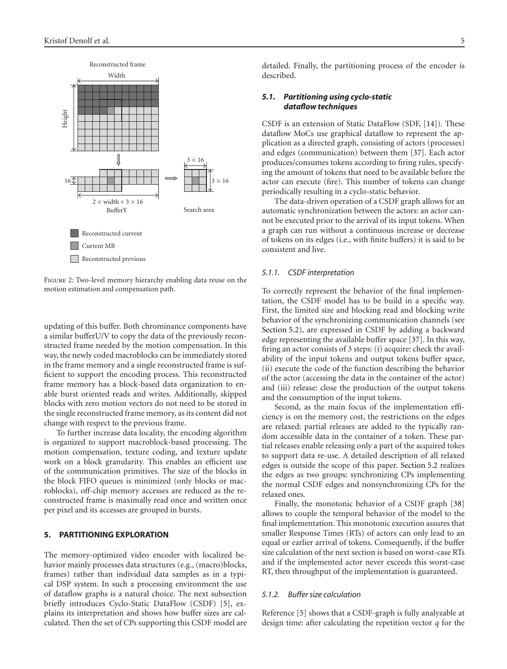

<span id="page-4-2"></span>FIGURE 2: Two-level memory hierarchy enabling data reuse on the motion estimation and compensation path.

updating of this buffer. Both chrominance components have a similar bufferU/V to copy the data of the previously reconstructed frame needed by the motion compensation. In this way, the newly coded macroblocks can be immediately stored in the frame memory and a single reconstructed frame is sufficient to support the encoding process. This reconstructed frame memory has a block-based data organization to enable burst oriented reads and writes. Additionally, skipped blocks with zero motion vectors do not need to be stored in the single reconstructed frame memory, as its content did not change with respect to the previous frame.

To further increase data locality, the encoding algorithm is organized to support macroblock-based processing. The motion compensation, texture coding, and texture update work on a block granularity. This enables an efficient use of the communication primitives. The size of the blocks in the block FIFO queues is minimized (only blocks or macroblocks), off-chip memory accesses are reduced as the reconstructed frame is maximally read once and written once per pixel and its accesses are grouped in bursts.

#### <span id="page-4-0"></span>**5. PARTITIONING EXPLORATION**

The memory-optimized video encoder with localized behavior mainly processes data structures (e.g., (macro)blocks, frames) rather than individual data samples as in a typical DSP system. In such a processing environment the use of dataflow graphs is a natural choice. The next subsection briefly introduces Cyclo-Static DataFlow (CSDF) [\[5](#page-11-4)], explains its interpretation and shows how buffer sizes are calculated. Then the set of CPs supporting this CSDF model are detailed. Finally, the partitioning process of the encoder is described.

## <span id="page-4-1"></span>*5.1. Partitioning using cyclo-static dataflow techniques*

CSDF is an extension of Static DataFlow (SDF, [\[14](#page-11-13)]). These dataflow MoCs use graphical dataflow to represent the application as a directed graph, consisting of actors (processes) and edges (communication) between them [\[37\]](#page-12-18). Each actor produces/consumes tokens according to firing rules, specifying the amount of tokens that need to be available before the actor can execute (fire). This number of tokens can change periodically resulting in a cyclo-static behavior.

The data-driven operation of a CSDF graph allows for an automatic synchronization between the actors: an actor cannot be executed prior to the arrival of its input tokens. When a graph can run without a continuous increase or decrease of tokens on its edges (i.e., with finite buffers) it is said to be consistent and live.

#### <span id="page-4-4"></span>*5.1.1. CSDF interpretation*

To correctly represent the behavior of the final implementation, the CSDF model has to be build in a specific way. First, the limited size and blocking read and blocking write behavior of the synchronizing communication channels (see [Section 5.2\)](#page-5-0), are expressed in CSDF by adding a backward edge representing the available buffer space [\[37\]](#page-12-18). In this way, firing an actor consists of 3 steps: (i) acquire: check the availability of the input tokens and output tokens buffer space, (ii) execute the code of the function describing the behavior of the actor (accessing the data in the container of the actor) and (iii) release: close the production of the output tokens and the consumption of the input tokens.

Second, as the main focus of the implementation efficiency is on the memory cost, the restrictions on the edges are relaxed: partial releases are added to the typically random accessible data in the container of a token. These partial releases enable releasing only a part of the acquired tokes to support data re-use. A detailed description of all relaxed edges is outside the scope of this paper. [Section 5.2](#page-5-0) realizes the edges as two groups: synchronizing CPs implementing the normal CSDF edges and nonsynchronizing CPs for the relaxed ones.

Finally, the monotonic behavior of a CSDF graph [\[38\]](#page-12-19) allows to couple the temporal behavior of the model to the final implementation. This monotonic execution assures that smaller Response Times (RTs) of actors can only lead to an equal or earlier arrival of tokens. Consequently, if the buffer size calculation of the next section is based on worst-case RTs and if the implemented actor never exceeds this worst-case RT, then throughput of the implementation is guaranteed.

#### <span id="page-4-3"></span>*5.1.2. Buffer size calculation*

Reference [\[5\]](#page-11-4) shows that a CSDF-graph is fully analyzable at design time: after calculating the repetition vector *q* for the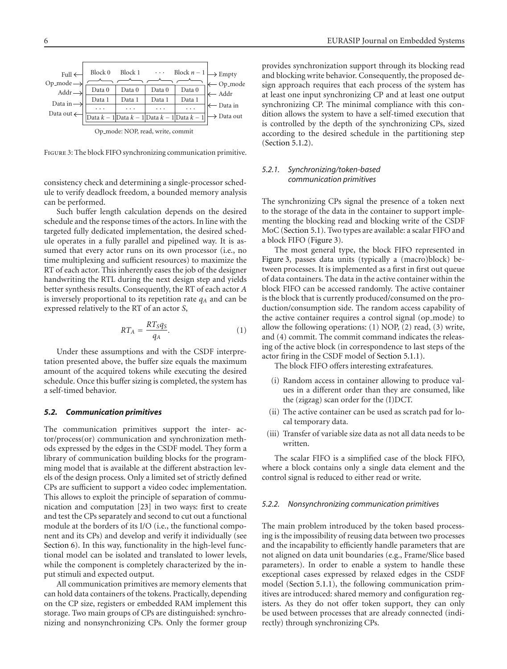| $Full \leftarrow$<br>$Op$ mode $\rightarrow$ | Block 0  | Block 1 | $\cdots$                                    | Block $n-1$ | $\rightarrow$ Empty<br>— Op_mode |
|----------------------------------------------|----------|---------|---------------------------------------------|-------------|----------------------------------|
| Addr $\rightarrow$                           | Data 0   | Data 0  | Data 0                                      | Data 0      | ⊱ Addr                           |
| Data in $-$                                  | Data 1   | Data 1  | Data 1                                      | Data 1      |                                  |
| Data out $\leftarrow$                        | $\cdots$ | .       | .                                           | $\cdots$    | ← Data in                        |
|                                              |          |         | Data $k-1$ Data $k-1$ Data $k-1$ Data $k-1$ |             | $\rightarrow$ Data out           |
|                                              |          |         |                                             |             |                                  |

<span id="page-5-1"></span>Figure 3: The block FIFO synchronizing communication primitive.

consistency check and determining a single-processor schedule to verify deadlock freedom, a bounded memory analysis can be performed.

Such buffer length calculation depends on the desired schedule and the response times of the actors. In line with the targeted fully dedicated implementation, the desired schedule operates in a fully parallel and pipelined way. It is assumed that every actor runs on its own processor (i.e., no time multiplexing and sufficient resources) to maximize the RT of each actor. This inherently eases the job of the designer handwriting the RTL during the next design step and yields better synthesis results. Consequently, the RT of each actor *A* is inversely proportional to its repetition rate  $q_A$  and can be expressed relatively to the RT of an actor *S*,

<span id="page-5-2"></span>
$$
RT_A = \frac{RT_S q_S}{q_A}.\tag{1}
$$

Under these assumptions and with the CSDF interpretation presented above, the buffer size equals the maximum amount of the acquired tokens while executing the desired schedule. Once this buffer sizing is completed, the system has a self-timed behavior.

#### <span id="page-5-0"></span>*5.2. Communication primitives*

The communication primitives support the inter- actor/process(or) communication and synchronization methods expressed by the edges in the CSDF model. They form a library of communication building blocks for the programming model that is available at the different abstraction levels of the design process. Only a limited set of strictly defined CPs are sufficient to support a video codec implementation. This allows to exploit the principle of separation of communication and computation [\[23\]](#page-12-4) in two ways: first to create and test the CPs separately and second to cut out a functional module at the borders of its I/O (i.e., the functional component and its CPs) and develop and verify it individually (see [Section 6\)](#page-6-0). In this way, functionality in the high-level functional model can be isolated and translated to lower levels, while the component is completely characterized by the input stimuli and expected output.

All communication primitives are memory elements that can hold data containers of the tokens. Practically, depending on the CP size, registers or embedded RAM implement this storage. Two main groups of CPs are distinguished: synchronizing and nonsynchronizing CPs. Only the former group provides synchronization support through its blocking read and blocking write behavior. Consequently, the proposed design approach requires that each process of the system has at least one input synchronizing CP and at least one output synchronizing CP. The minimal compliance with this condition allows the system to have a self-timed execution that is controlled by the depth of the synchronizing CPs, sized according to the desired schedule in the partitioning step [\(Section 5.1.2\)](#page-4-3).

## *5.2.1. Synchronizing/token-based communication primitives*

The synchronizing CPs signal the presence of a token next to the storage of the data in the container to support implementing the blocking read and blocking write of the CSDF MoC [\(Section 5.1\)](#page-4-1). Two types are available: a scalar FIFO and a block FIFO [\(Figure 3\)](#page-5-1).

The most general type, the block FIFO represented in [Figure 3,](#page-5-1) passes data units (typically a (macro)block) between processes. It is implemented as a first in first out queue of data containers. The data in the active container within the block FIFO can be accessed randomly. The active container is the block that is currently produced/consumed on the production/consumption side. The random access capability of the active container requires a control signal (op mode) to allow the following operations: (1) NOP, (2) read, (3) write, and (4) commit. The commit command indicates the releasing of the active block (in correspondence to last steps of the actor firing in the CSDF model of [Section 5.1.1\)](#page-4-4).

The block FIFO offers interesting extrafeatures.

- (i) Random access in container allowing to produce values in a different order than they are consumed, like the (zigzag) scan order for the (I)DCT.
- (ii) The active container can be used as scratch pad for local temporary data.
- (iii) Transfer of variable size data as not all data needs to be written.

The scalar FIFO is a simplified case of the block FIFO, where a block contains only a single data element and the control signal is reduced to either read or write.

#### *5.2.2. Nonsynchronizing communication primitives*

The main problem introduced by the token based processing is the impossibility of reusing data between two processes and the incapability to efficiently handle parameters that are not aligned on data unit boundaries (e.g., Frame/Slice based parameters). In order to enable a system to handle these exceptional cases expressed by relaxed edges in the CSDF model [\(Section 5.1.1\)](#page-4-4), the following communication primitives are introduced: shared memory and configuration registers. As they do not offer token support, they can only be used between processes that are already connected (indirectly) through synchronizing CPs.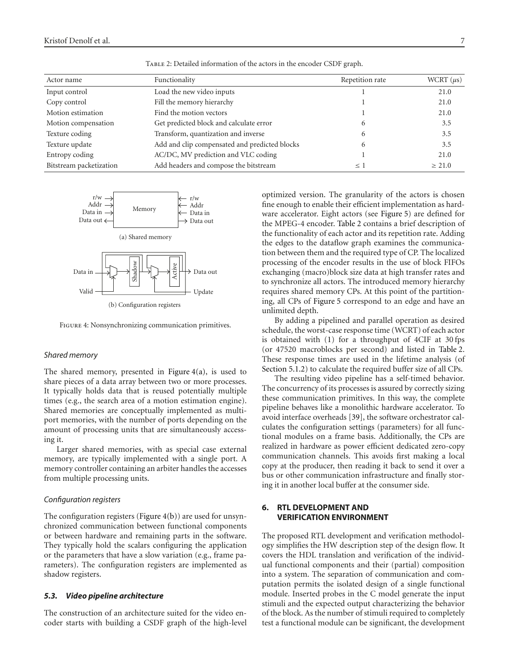| Actor name              | Functionality                                 | Repetition rate | WCRT $(\mu s)$ |
|-------------------------|-----------------------------------------------|-----------------|----------------|
| Input control           | Load the new video inputs                     |                 | 21.0           |
| Copy control            | Fill the memory hierarchy                     |                 | 21.0           |
| Motion estimation       | Find the motion vectors                       |                 | 21.0           |
| Motion compensation     | Get predicted block and calculate error       | 6               | 3.5            |
| Texture coding          | Transform, quantization and inverse           | 6               | 3.5            |
| Texture update          | Add and clip compensated and predicted blocks | 6               | 3.5            |
| Entropy coding          | AC/DC, MV prediction and VLC coding           |                 | 21.0           |
| Bitstream packetization | Add headers and compose the bitstream         | $\leq$ 1        | $\geq 21.0$    |

<span id="page-6-3"></span>TABLE 2: Detailed information of the actors in the encoder CSDF graph.

<span id="page-6-1"></span>

<span id="page-6-2"></span>Figure 4: Nonsynchronizing communication primitives.

#### *Shared memory*

The shared memory, presented in [Figure 4\(a\),](#page-6-1) is used to share pieces of a data array between two or more processes. It typically holds data that is reused potentially multiple times (e.g., the search area of a motion estimation engine). Shared memories are conceptually implemented as multiport memories, with the number of ports depending on the amount of processing units that are simultaneously accessing it.

Larger shared memories, with as special case external memory, are typically implemented with a single port. A memory controller containing an arbiter handles the accesses from multiple processing units.

#### *Configuration registers*

The configuration registers (Figure  $4(b)$ ) are used for unsynchronized communication between functional components or between hardware and remaining parts in the software. They typically hold the scalars configuring the application or the parameters that have a slow variation (e.g., frame parameters). The configuration registers are implemented as shadow registers.

#### *5.3. Video pipeline architecture*

The construction of an architecture suited for the video encoder starts with building a CSDF graph of the high-level optimized version. The granularity of the actors is chosen fine enough to enable their efficient implementation as hardware accelerator. Eight actors (see [Figure 5\)](#page-8-0) are defined for the MPEG-4 encoder. [Table 2](#page-6-3) contains a brief description of the functionality of each actor and its repetition rate. Adding the edges to the dataflow graph examines the communication between them and the required type of CP. The localized processing of the encoder results in the use of block FIFOs exchanging (macro)block size data at high transfer rates and to synchronize all actors. The introduced memory hierarchy requires shared memory CPs. At this point of the partitioning, all CPs of [Figure 5](#page-8-0) correspond to an edge and have an unlimited depth.

By adding a pipelined and parallel operation as desired schedule, the worst-case response time (WCRT) of each actor is obtained with [\(1\)](#page-5-2) for a throughput of 4CIF at 30 fps (or 47520 macroblocks per second) and listed in [Table 2.](#page-6-3) These response times are used in the lifetime analysis (of [Section 5.1.2\)](#page-4-3) to calculate the required buffer size of all CPs.

The resulting video pipeline has a self-timed behavior. The concurrency of its processes is assured by correctly sizing these communication primitives. In this way, the complete pipeline behaves like a monolithic hardware accelerator. To avoid interface overheads [\[39\]](#page-12-20), the software orchestrator calculates the configuration settings (parameters) for all functional modules on a frame basis. Additionally, the CPs are realized in hardware as power efficient dedicated zero-copy communication channels. This avoids first making a local copy at the producer, then reading it back to send it over a bus or other communication infrastructure and finally storing it in another local buffer at the consumer side.

## <span id="page-6-0"></span>**6. RTL DEVELOPMENT AND VERIFICATION ENVIRONMENT**

The proposed RTL development and verification methodology simplifies the HW description step of the design flow. It covers the HDL translation and verification of the individual functional components and their (partial) composition into a system. The separation of communication and computation permits the isolated design of a single functional module. Inserted probes in the C model generate the input stimuli and the expected output characterizing the behavior of the block. As the number of stimuli required to completely test a functional module can be significant, the development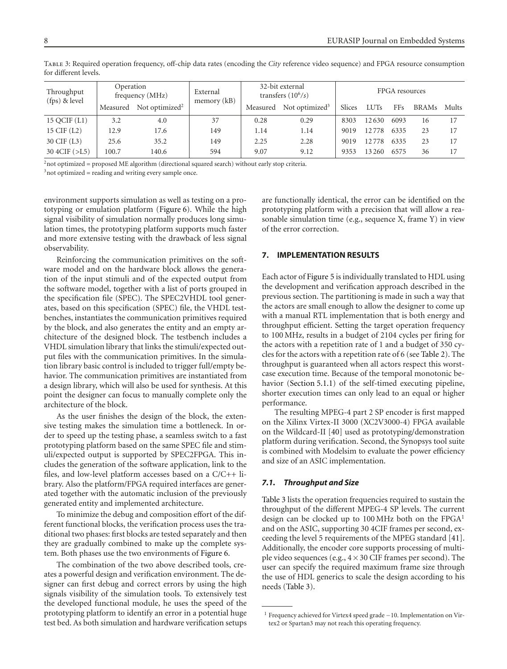| Throughput<br>(fps) & level | Operation<br>frequency (MHz) |                                     | External<br>memory (kB) | 32-bit external<br>transfers $(10^6/s)$ | FPGA resources                      |        |             |            |              |       |
|-----------------------------|------------------------------|-------------------------------------|-------------------------|-----------------------------------------|-------------------------------------|--------|-------------|------------|--------------|-------|
|                             |                              | Measured Not optimized <sup>2</sup> |                         |                                         | Measured Not optimized <sup>3</sup> | Slices | <b>LUTs</b> | <b>FFs</b> | <b>BRAMs</b> | Mults |
| 15 QCIF $(L1)$              | 3.2                          | 4.0                                 | 37                      | 0.28                                    | 0.29                                | 8303   | 12630       | 6093       | 16           |       |
| 15 CIF (L2)                 | 12.9                         | 17.6                                | 149                     | 1.14                                    | 1.14                                | 9019   | 12778       | 6335       | 23           |       |
| 30 CIF (L3)                 | 25.6                         | 35.2                                | 149                     | 2.25                                    | 2.28                                | 9019   | 12778       | 6335       | 23           |       |
| 304CIF(>L5)                 | 100.7                        | 140.6                               | 594                     | 9.07                                    | 9.12                                | 9353   | 3 2 6 0     | 6575       | 36           |       |

<span id="page-7-1"></span>Table 3: Required operation frequency, off-chip data rates (encoding the *City* reference video sequence) and FPGA resource consumption for different levels.

 $2$ not optimized = proposed ME algorithm (directional squared search) without early stop criteria.

 $3$ not optimized = reading and writing every sample once.

environment supports simulation as well as testing on a prototyping or emulation platform [\(Figure 6\)](#page-8-1). While the high signal visibility of simulation normally produces long simulation times, the prototyping platform supports much faster and more extensive testing with the drawback of less signal observability.

Reinforcing the communication primitives on the software model and on the hardware block allows the generation of the input stimuli and of the expected output from the software model, together with a list of ports grouped in the specification file (SPEC). The SPEC2VHDL tool generates, based on this specification (SPEC) file, the VHDL testbenches, instantiates the communication primitives required by the block, and also generates the entity and an empty architecture of the designed block. The testbench includes a VHDL simulation library that links the stimuli/expected output files with the communication primitives. In the simulation library basic control is included to trigger full/empty behavior. The communication primitives are instantiated from a design library, which will also be used for synthesis. At this point the designer can focus to manually complete only the architecture of the block.

As the user finishes the design of the block, the extensive testing makes the simulation time a bottleneck. In order to speed up the testing phase, a seamless switch to a fast prototyping platform based on the same SPEC file and stimuli/expected output is supported by SPEC2FPGA. This includes the generation of the software application, link to the files, and low-level platform accesses based on a C/C++ library. Also the platform/FPGA required interfaces are generated together with the automatic inclusion of the previously generated entity and implemented architecture.

To minimize the debug and composition effort of the different functional blocks, the verification process uses the traditional two phases: first blocks are tested separately and then they are gradually combined to make up the complete system. Both phases use the two environments of [Figure 6.](#page-8-1)

The combination of the two above described tools, creates a powerful design and verification environment. The designer can first debug and correct errors by using the high signals visibility of the simulation tools. To extensively test the developed functional module, he uses the speed of the prototyping platform to identify an error in a potential huge test bed. As both simulation and hardware verification setups are functionally identical, the error can be identified on the prototyping platform with a precision that will allow a reasonable simulation time (e.g., sequence X, frame Y) in view of the error correction.

#### <span id="page-7-0"></span>**7. IMPLEMENTATION RESULTS**

Each actor of [Figure 5](#page-8-0) is individually translated to HDL using the development and verification approach described in the previous section. The partitioning is made in such a way that the actors are small enough to allow the designer to come up with a manual RTL implementation that is both energy and throughput efficient. Setting the target operation frequency to 100 MHz, results in a budget of 2104 cycles per firing for the actors with a repetition rate of 1 and a budget of 350 cycles for the actors with a repetition rate of 6 (see [Table 2\)](#page-6-3). The throughput is guaranteed when all actors respect this worstcase execution time. Because of the temporal monotonic be-havior [\(Section 5.1.1\)](#page-4-4) of the self-timed executing pipeline, shorter execution times can only lead to an equal or higher performance.

The resulting MPEG-4 part 2 SP encoder is first mapped on the Xilinx Virtex-II 3000 (XC2V3000-4) FPGA available on the Wildcard-II [\[40\]](#page-12-21) used as prototyping/demonstration platform during verification. Second, the Synopsys tool suite is combined with Modelsim to evaluate the power efficiency and size of an ASIC implementation.

## *7.1. Throughput and Size*

[Table 3](#page-7-1) lists the operation frequencies required to sustain the throughput of the different MPEG-4 SP levels. The current design can be clocked up to  $100 \text{ MHz}$  both on the FPGA<sup>1</sup> and on the ASIC, supporting 30 4CIF frames per second, exceeding the level 5 requirements of the MPEG standard [\[41](#page-12-22)]. Additionally, the encoder core supports processing of multiple video sequences (e.g.,  $4 \times 30$  CIF frames per second). The user can specify the required maximum frame size through the use of HDL generics to scale the design according to his needs [\(Table 3\)](#page-7-1).

<sup>1</sup> Frequency achieved for Virtex4 speed grade <sup>−</sup>10. Implementation on Virtex2 or Spartan3 may not reach this operating frequency.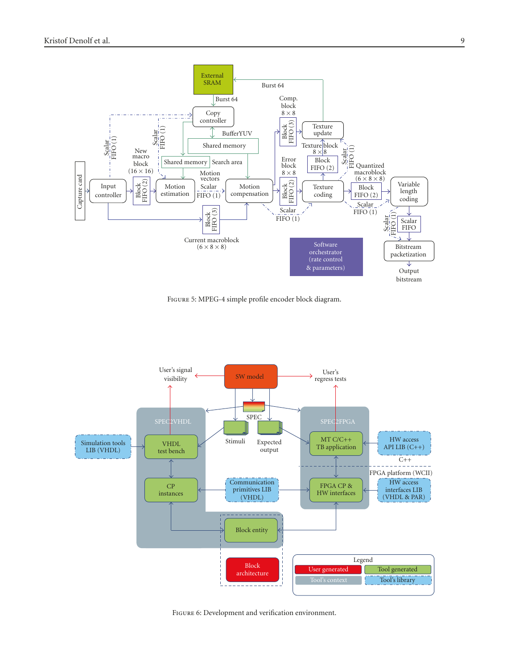

<span id="page-8-0"></span>Figure 5: MPEG-4 simple profile encoder block diagram.



<span id="page-8-1"></span>Figure 6: Development and verification environment.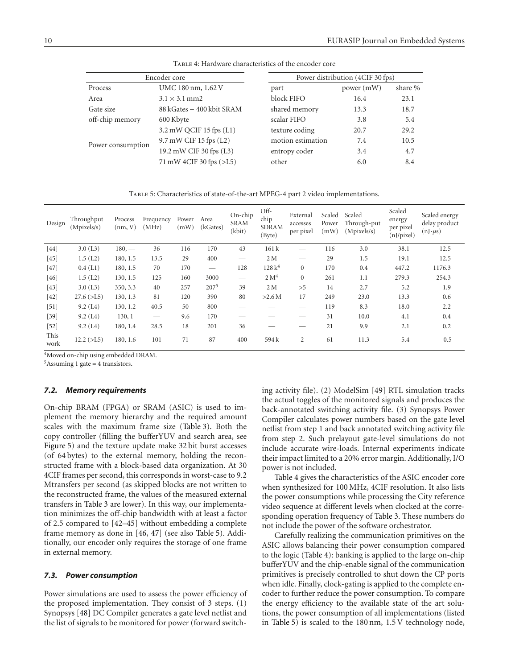|                   | Encoder core              | Power distribution (4CIF 30 fps) |            |         |  |  |  |
|-------------------|---------------------------|----------------------------------|------------|---------|--|--|--|
| Process           | UMC 180 nm, 1.62 V        | part                             | power (mW) | share % |  |  |  |
| Area              | $3.1 \times 3.1$ mm2      | block FIFO                       | 16.4       | 23.1    |  |  |  |
| Gate size         | 88 kGates + 400 kbit SRAM | shared memory                    | 13.3       | 18.7    |  |  |  |
| off-chip memory   | 600 Kbyte                 | scalar FIFO                      | 3.8        | 5.4     |  |  |  |
|                   | 3.2 mW QCIF 15 fps (L1)   | texture coding                   | 20.7       | 29.2    |  |  |  |
| Power consumption | 9.7 mW CIF 15 fps (L2)    | motion estimation                | 7.4        | 10.5    |  |  |  |
|                   | 19.2 mW CIF 30 fps (L3)   | entropy coder                    | 3.4        | 4.7     |  |  |  |
|                   | 71 mW 4CIF 30 fps (>L5)   | other                            | 6.0        | 8.4     |  |  |  |

<span id="page-9-1"></span>TABLE 4: Hardware characteristics of the encoder core

<span id="page-9-0"></span>Table 5: Characteristics of state-of-the-art MPEG-4 part 2 video implementations.

| Design       | Throughput<br>(Mpixels/s) | Process<br>(nm, V) | Frequency<br>(MHz)            | Power<br>(mW) | Area<br>(kGates) | On-chip<br><b>SRAM</b><br>(kbit) | Off-<br>chip<br><b>SDRAM</b><br>(Byte) | External<br>accesses<br>per pixel | Scaled<br>Power<br>(mW) | Scaled<br>Through-put<br>(Mpixels/s) | Scaled<br>energy<br>per pixel<br>(nJ/pixel) | Scaled energy<br>delay product<br>$(nJ·\mu s)$ |
|--------------|---------------------------|--------------------|-------------------------------|---------------|------------------|----------------------------------|----------------------------------------|-----------------------------------|-------------------------|--------------------------------------|---------------------------------------------|------------------------------------------------|
| $[44]$       | 3.0(L3)                   | $180, -$           | 36                            | 116           | 170              | 43                               | 161k                                   |                                   | 116                     | 3.0                                  | 38.1                                        | 12.5                                           |
| $[45]$       | 1.5(L2)                   | 180, 1.5           | 13.5                          | 29            | 400              |                                  | 2 <sub>M</sub>                         |                                   | 29                      | 1.5                                  | 19.1                                        | 12.5                                           |
| $[47]$       | 0.4(L1)                   | 180, 1.5           | 70                            | 170           |                  | 128                              | 128k <sup>4</sup>                      | $\mathbf{0}$                      | 170                     | 0.4                                  | 447.2                                       | 1176.3                                         |
| $[46]$       | 1.5(L2)                   | 130, 1.5           | 125                           | 160           | 3000             |                                  | 2 M <sup>4</sup>                       | $\Omega$                          | 261                     | 1.1                                  | 279.3                                       | 254.3                                          |
| $[43]$       | 3.0(L3)                   | 350, 3.3           | 40                            | 257           | 2075             | 39                               | 2 <sub>M</sub>                         | >5                                | 14                      | 2.7                                  | 5.2                                         | 1.9                                            |
| $[42]$       | 27.6 (>L5)                | 130, 1.3           | 81                            | 120           | 390              | 80                               | >2.6 M                                 | 17                                | 249                     | 23.0                                 | 13.3                                        | 0.6                                            |
| $[51]$       | 9.2(L4)                   | 130, 1.2           | 40.5                          | 50            | 800              |                                  |                                        |                                   | 119                     | 8.3                                  | 18.0                                        | 2.2                                            |
| $[39]$       | 9.2(L4)                   | 130, 1             | $\overbrace{\phantom{12333}}$ | 9.6           | 170              |                                  |                                        |                                   | 31                      | 10.0                                 | 4.1                                         | 0.4                                            |
| $[52]$       | 9.2(L4)                   | 180, 1.4           | 28.5                          | 18            | 201              | 36                               |                                        |                                   | 21                      | 9.9                                  | 2.1                                         | 0.2                                            |
| This<br>work | 12.2(>L5)                 | 180, 1.6           | 101                           | 71            | 87               | 400                              | 594k                                   | 2                                 | 61                      | 11.3                                 | 5.4                                         | 0.5                                            |

4Moved on-chip using embedded DRAM.

 $5$ Assuming 1 gate = 4 transistors.

#### *7.2. Memory requirements*

On-chip BRAM (FPGA) or SRAM (ASIC) is used to implement the memory hierarchy and the required amount scales with the maximum frame size [\(Table 3\)](#page-7-1). Both the copy controller (filling the bufferYUV and search area, see [Figure 5\)](#page-8-0) and the texture update make 32 bit burst accesses (of 64 bytes) to the external memory, holding the reconstructed frame with a block-based data organization. At 30 4CIF frames per second, this corresponds in worst-case to 9.2 Mtransfers per second (as skipped blocks are not written to the reconstructed frame, the values of the measured external transfers in [Table 3](#page-7-1) are lower). In this way, our implementation minimizes the off-chip bandwidth with at least a factor of 2.5 compared to [\[42](#page-12-27)[–45\]](#page-12-24) without embedding a complete frame memory as done in [\[46](#page-12-25), [47](#page-13-0)] (see also [Table 5\)](#page-9-0). Additionally, our encoder only requires the storage of one frame in external memory.

#### *7.3. Power consumption*

Power simulations are used to assess the power efficiency of the proposed implementation. They consist of 3 steps. (1) Synopsys [\[48\]](#page-13-3) DC Compiler generates a gate level netlist and the list of signals to be monitored for power (forward switching activity file). (2) ModelSim [\[49](#page-13-4)] RTL simulation tracks the actual toggles of the monitored signals and produces the back-annotated switching activity file. (3) Synopsys Power Compiler calculates power numbers based on the gate level netlist from step 1 and back annotated switching activity file from step 2. Such prelayout gate-level simulations do not include accurate wire-loads. Internal experiments indicate their impact limited to a 20% error margin. Additionally, I/O power is not included.

[Table 4](#page-9-1) gives the characteristics of the ASIC encoder core when synthesized for 100 MHz, 4CIF resolution. It also lists the power consumptions while processing the City reference video sequence at different levels when clocked at the corresponding operation frequency of [Table 3.](#page-7-1) These numbers do not include the power of the software orchestrator.

Carefully realizing the communication primitives on the ASIC allows balancing their power consumption compared to the logic [\(Table 4\)](#page-9-1): banking is applied to the large on-chip bufferYUV and the chip-enable signal of the communication primitives is precisely controlled to shut down the CP ports when idle. Finally, clock-gating is applied to the complete encoder to further reduce the power consumption. To compare the energy efficiency to the available state of the art solutions, the power consumption of all implementations (listed in [Table 5\)](#page-9-0) is scaled to the 180 nm, 1.5 V technology node,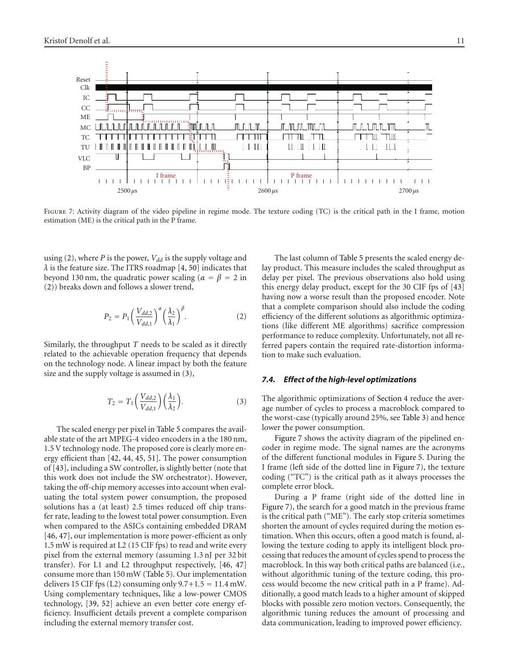

<span id="page-10-2"></span>FIGURE 7: Activity diagram of the video pipeline in regime mode. The texture coding (TC) is the critical path in the I frame, motion estimation (ME) is the critical path in the P frame.

using [\(2\)](#page-10-0), where *P* is the power,  $V_{dd}$  is the supply voltage and *λ* is the feature size. The ITRS roadmap [\[4,](#page-11-3) [50\]](#page-13-5) indicates that beyond 130 nm, the quadratic power scaling ( $\alpha = \beta = 2$  in [\(2\)](#page-10-0)) breaks down and follows a slower trend,

<span id="page-10-0"></span>
$$
P_2 = P_1 \left(\frac{V_{dd,2}}{V_{dd,1}}\right)^{\alpha} \left(\frac{\lambda_2}{\lambda_1}\right)^{\beta}.
$$
 (2)

Similarly, the throughput *T* needs to be scaled as it directly related to the achievable operation frequency that depends on the technology node. A linear impact by both the feature size and the supply voltage is assumed in [\(3\)](#page-10-1),

<span id="page-10-1"></span>
$$
T_2 = T_1 \left( \frac{V_{dd,2}}{V_{dd,1}} \right) \left( \frac{\lambda_1}{\lambda_2} \right). \tag{3}
$$

The scaled energy per pixel in [Table 5](#page-9-0) compares the available state of the art MPEG-4 video encoders in a the 180 nm, 1.5 V technology node. The proposed core is clearly more energy efficient than [\[42](#page-12-27), [44](#page-12-23), [45,](#page-12-24) [51](#page-13-1)]. The power consumption of [\[43](#page-12-26)], including a SW controller, is slightly better (note that this work does not include the SW orchestrator). However, taking the off-chip memory accesses into account when evaluating the total system power consumption, the proposed solutions has a (at least) 2.5 times reduced off chip transfer rate, leading to the lowest total power consumption. Even when compared to the ASICs containing embedded DRAM [\[46](#page-12-25), [47](#page-13-0)], our implementation is more power-efficient as only 1.5 mW is required at L2 (15 CIF fps) to read and write every pixel from the external memory (assuming 1.3 nJ per 32 bit transfer). For L1 and L2 throughput respectively, [\[46,](#page-12-25) [47\]](#page-13-0) consume more than 150 mW [\(Table 5\)](#page-9-0). Our implementation delivers 15 CIF fps  $(L2)$  consuming only  $9.7+1.5 = 11.4$  mW. Using complementary techniques, like a low-power CMOS technology, [\[39,](#page-12-20) [52\]](#page-13-2) achieve an even better core energy efficiency. Insufficient details prevent a complete comparison including the external memory transfer cost.

The last column of [Table 5](#page-9-0) presents the scaled energy delay product. This measure includes the scaled throughput as delay per pixel. The previous observations also hold using this energy delay product, except for the 30 CIF fps of [\[43\]](#page-12-26) having now a worse result than the proposed encoder. Note that a complete comparison should also include the coding efficiency of the different solutions as algorithmic optimizations (like different ME algorithms) sacrifice compression performance to reduce complexity. Unfortunately, not all referred papers contain the required rate-distortion information to make such evaluation.

#### *7.4. Effect of the high-level optimizations*

The algorithmic optimizations of [Section 4](#page-3-0) reduce the average number of cycles to process a macroblock compared to the worst-case (typically around 25%, see [Table 3\)](#page-7-1) and hence lower the power consumption.

[Figure 7](#page-10-2) shows the activity diagram of the pipelined encoder in regime mode. The signal names are the acronyms of the different functional modules in [Figure 5.](#page-8-0) During the I frame (left side of the dotted line in [Figure 7\)](#page-10-2), the texture coding ("TC") is the critical path as it always processes the complete error block.

During a P frame (right side of the dotted line in [Figure 7\)](#page-10-2), the search for a good match in the previous frame is the critical path ("ME"). The early stop criteria sometimes shorten the amount of cycles required during the motion estimation. When this occurs, often a good match is found, allowing the texture coding to apply its intelligent block processing that reduces the amount of cycles spend to process the macroblock. In this way both critical paths are balanced (i.e., without algorithmic tuning of the texture coding, this process would become the new critical path in a P frame). Additionally, a good match leads to a higher amount of skipped blocks with possible zero motion vectors. Consequently, the algorithmic tuning reduces the amount of processing and data communication, leading to improved power efficiency.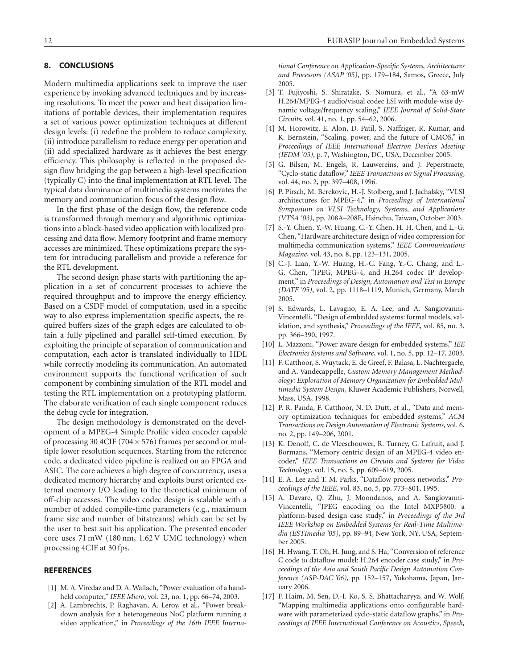## **8. CONCLUSIONS**

Modern multimedia applications seek to improve the user experience by invoking advanced techniques and by increasing resolutions. To meet the power and heat dissipation limitations of portable devices, their implementation requires a set of various power optimization techniques at different design levels: (i) redefine the problem to reduce complexity, (ii) introduce parallelism to reduce energy per operation and (ii) add specialized hardware as it achieves the best energy efficiency. This philosophy is reflected in the proposed design flow bridging the gap between a high-level specification (typically C) into the final implementation at RTL level. The typical data dominance of multimedia systems motivates the memory and communication focus of the design flow.

In the first phase of the design flow, the reference code is transformed through memory and algorithmic optimizations into a block-based video application with localized processing and data flow. Memory footprint and frame memory accesses are minimized. These optimizations prepare the system for introducing parallelism and provide a reference for the RTL development.

The second design phase starts with partitioning the application in a set of concurrent processes to achieve the required throughput and to improve the energy efficiency. Based on a CSDF model of computation, used in a specific way to also express implementation specific aspects, the required buffers sizes of the graph edges are calculated to obtain a fully pipelined and parallel self-timed execution. By exploiting the principle of separation of communication and computation, each actor is translated individually to HDL while correctly modeling its communication. An automated environment supports the functional verification of such component by combining simulation of the RTL model and testing the RTL implementation on a prototyping platform. The elaborate verification of each single component reduces the debug cycle for integration.

The design methodology is demonstrated on the development of a MPEG-4 Simple Profile video encoder capable of processing 30 4CIF (704  $\times$  576) frames per second or multiple lower resolution sequences. Starting from the reference code, a dedicated video pipeline is realized on an FPGA and ASIC. The core achieves a high degree of concurrency, uses a dedicated memory hierarchy and exploits burst oriented external memory I/O leading to the theoretical minimum of off-chip accesses. The video codec design is scalable with a number of added compile-time parameters (e.g., maximum frame size and number of bitstreams) which can be set by the user to best suit his application. The presented encoder core uses 71 mW (180 nm, 1.62 V UMC technology) when processing 4CIF at 30 fps.

### <span id="page-11-1"></span><span id="page-11-0"></span>**REFERENCES**

- [1] M. A. Viredaz and D. A. Wallach, "Power evaluation of a handheld computer," *IEEE Micro*, vol. 23, no. 1, pp. 66–74, 2003.
- [2] A. Lambrechts, P. Raghavan, A. Leroy, et al., "Power breakdown analysis for a heterogeneous NoC platform running a video application," in *Proceedings of the 16th IEEE Interna-*

*tional Conference on Application-Specific Systems, Architectures and Processors (ASAP '05)*, pp. 179–184, Samos, Greece, July 2005.

- <span id="page-11-2"></span>[3] T. Fujiyoshi, S. Shiratake, S. Nomura, et al., "A 63-mW H.264/MPEG-4 audio/visual codec LSI with module-wise dynamic voltage/frequency scaling," *IEEE Journal of Solid-State Circuits*, vol. 41, no. 1, pp. 54–62, 2006.
- <span id="page-11-3"></span>[4] M. Horowitz, E. Alon, D. Patil, S. Naffziger, R. Kumar, and K. Bernstein, "Scaling, power, and the future of CMOS," in *Proceedings of IEEE International Electron Devices Meeting (IEDM '05)*, p. 7, Washington, DC, USA, December 2005.
- <span id="page-11-4"></span>[5] G. Bilsen, M. Engels, R. Lauwereins, and J. Peperstraete, "Cyclo-static dataflow," *IEEE Transactions on Signal Processing*, vol. 44, no. 2, pp. 397–408, 1996.
- <span id="page-11-5"></span>[6] P. Pirsch, M. Berekovic, H.-J. Stolberg, and J. Jachalsky, "VLSI architectures for MPEG-4," in *Proceedings of International Symposium on VLSI Technology, Systems, and Applications (VTSA '03)*, pp. 208A–208E, Hsinchu, Taiwan, October 2003.
- <span id="page-11-6"></span>[7] S.-Y. Chien, Y.-W. Huang, C.-Y. Chen, H. H. Chen, and L.-G. Chen, "Hardware architecture design of video compression for multimedia communication systems," *IEEE Communications Magazine*, vol. 43, no. 8, pp. 123–131, 2005.
- <span id="page-11-7"></span>[8] C.-J. Lian, Y.-W. Huang, H.-C. Fang, Y.-C. Chang, and L.- G. Chen, "JPEG, MPEG-4, and H.264 codec IP development," in *Proceedings of Design, Automation and Test in Europe (DATE '05)*, vol. 2, pp. 1118–1119, Munich, Germany, March 2005.
- <span id="page-11-8"></span>[9] S. Edwards, L. Lavagno, E. A. Lee, and A. Sangiovanni-Vincentelli, "Design of embedded systems: formal models, validation, and synthesis," *Proceedings of the IEEE*, vol. 85, no. 3, pp. 366–390, 1997.
- <span id="page-11-9"></span>[10] L. Mazzoni, "Power aware design for embedded systems," *IEE Electronics Systems and Software*, vol. 1, no. 5, pp. 12–17, 2003.
- <span id="page-11-10"></span>[11] F. Catthoor, S. Wuytack, E. de Greef, F. Balasa, L. Nachtergaele, and A. Vandecappelle, *Custom Memory Management Methodology: Exploration of Memory Organization for Embedded Multimedia System Design*, Kluwer Academic Publishers, Norwell, Mass, USA, 1998.
- <span id="page-11-11"></span>[12] P. R. Panda, F. Catthoor, N. D. Dutt, et al., "Data and memory optimization techniques for embedded systems," *ACM Transactions on Design Automation of Electronic Systems*, vol. 6, no. 2, pp. 149–206, 2001.
- <span id="page-11-12"></span>[13] K. Denolf, C. de Vleeschouwer, R. Turney, G. Lafruit, and J. Bormans, "Memory centric design of an MPEG-4 video encoder," *IEEE Transactions on Circuits and Systems for Video Technology*, vol. 15, no. 5, pp. 609–619, 2005.
- <span id="page-11-13"></span>[14] E. A. Lee and T. M. Parks, "Dataflow process networks," *Proceedings of the IEEE*, vol. 83, no. 5, pp. 773–801, 1995.
- <span id="page-11-14"></span>[15] A. Davare, Q. Zhu, J. Moondanos, and A. Sangiovanni-Vincentelli, "JPEG encoding on the Intel MXP5800: a platform-based design case study," in *Proceedings of the 3rd IEEE Workshop on Embedded Systems for Real-Time Multimedia (ESTImedia '05)*, pp. 89–94, New York, NY, USA, September 2005.
- <span id="page-11-15"></span>[16] H. Hwang, T. Oh, H. Jung, and S. Ha, "Conversion of reference C code to dataflow model: H.264 encoder case study," in *Proceedings of the Asia and South Pacific Design Automation Conference (ASP-DAC '06)*, pp. 152–157, Yokohama, Japan, January 2006.
- <span id="page-11-16"></span>[17] F. Haim, M. Sen, D.-I. Ko, S. S. Bhattacharyya, and W. Wolf, "Mapping multimedia applications onto configurable hardware with parameterized cyclo-static dataflow graphs," in *Proceedings of IEEE International Conference on Acoustics, Speech,*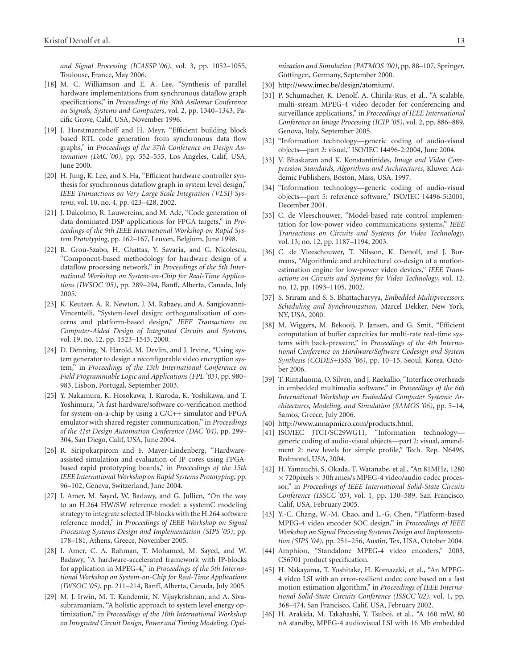*and Signal Processing (ICASSP '06)*, vol. 3, pp. 1052–1055, Toulouse, France, May 2006.

- <span id="page-12-0"></span>[18] M. C. Williamson and E. A. Lee, "Synthesis of parallel hardware implementations from synchronous dataflow graph specifications," in *Proceedings of the 30th Asilomar Conference on Signals, Systems and Computers*, vol. 2, pp. 1340–1343, Pacific Grove, Calif, USA, November 1996.
- [19] J. Horstmannshoff and H. Meyr, "Efficient building block based RTL code generation from synchronous data flow graphs," in *Proceedings of the 37th Conference on Design Automation (DAC '00)*, pp. 552–555, Los Angeles, Calif, USA, June 2000.
- <span id="page-12-1"></span>[20] H. Jung, K. Lee, and S. Ha, "Efficient hardware controller synthesis for synchronous dataflow graph in system level design," *IEEE Transactions on Very Large Scale Integration (VLSI) Systems*, vol. 10, no. 4, pp. 423–428, 2002.
- <span id="page-12-2"></span>[21] J. Dalcolmo, R. Lauwereins, and M. Ade, "Code generation of data dominated DSP applications for FPGA targets," in *Proceedings of the 9th IEEE International Workshop on Rapid System Prototyping*, pp. 162–167, Leuven, Belgium, June 1998.
- <span id="page-12-3"></span>[22] R. Grou-Szabo, H. Ghattas, Y. Savaria, and G. Nicolescu, "Component-based methodology for hardware design of a dataflow processing network," in *Proceedings of the 5th International Workshop on System-on-Chip for Real-Time Applications (IWSOC '05)*, pp. 289–294, Banff, Alberta, Canada, July 2005.
- <span id="page-12-4"></span>[23] K. Keutzer, A. R. Newton, J. M. Rabaey, and A. Sangiovanni-Vincentelli, "System-level design: orthogonalization of concerns and platform-based design," *IEEE Transactions on Computer-Aided Design of Integrated Circuits and Systems*, vol. 19, no. 12, pp. 1523–1543, 2000.
- <span id="page-12-5"></span>[24] D. Denning, N. Harold, M. Devlin, and J. Irvine, "Using system generator to design a reconfigurable video encryption system," in *Proceedings of the 13th International Conference on Field Programmable Logic and Applications (FPL '03)*, pp. 980– 983, Lisbon, Portugal, September 2003.
- <span id="page-12-6"></span>[25] Y. Nakamura, K. Hosokawa, I. Kuroda, K. Yoshikawa, and T. Yoshimura, "A fast hardware/software co-verification method for system-on-a-chip by using a C/C++ simulator and FPGA emulator with shared register communication," in *Proceedings of the 41st Design Automation Conference (DAC '04)*, pp. 299– 304, San Diego, Calif, USA, June 2004.
- <span id="page-12-7"></span>[26] R. Siripokarpirom and F. Mayer-Lindenberg, "Hardwareassisted simulation and evaluation of IP cores using FPGAbased rapid prototyping boards," in *Proceedings of the 15th IEEE International Workshop on Rapid Systems Prototyping*, pp. 96–102, Geneva, Switzerland, June 2004.
- <span id="page-12-8"></span>[27] I. Amer, M. Sayed, W. Badawy, and G. Jullien, "On the way to an H.264 HW/SW reference model: a systemC modeling strategy to integrate selected IP-blocks with the H.264 software reference model," in *Proceedings of IEEE Workshop on Signal Processing Systems Design and Implementation (SIPS '05)*, pp. 178–181, Athens, Greece, November 2005.
- <span id="page-12-9"></span>[28] I. Amer, C. A. Rahman, T. Mohamed, M. Sayed, and W. Badawy, "A hardware-accelerated framework with IP-blocks for application in MPEG-4," in *Proceedings of the 5th International Workshop on System-on-Chip for Real-Time Applications (IWSOC '05)*, pp. 211–214, Banff, Alberta, Canada, July 2005.
- <span id="page-12-10"></span>[29] M. J. Irwin, M. T. Kandemir, N. Vijaykrishnan, and A. Sivasubramaniam, "A holistic approach to system level energy optimization," in *Proceedings of the 10th International Workshop on Integrated Circuit Design, Power and Timing Modeling, Opti-*

*mization and Simulation (PATMOS '00)*, pp. 88–107, Springer, Göttingen, Germany, September 2000.

- <span id="page-12-11"></span>[30] [http://www.imec.be/design/atomium/.](http://www.imec.be/design/atomium/)
- <span id="page-12-12"></span>[31] P. Schumacher, K. Denolf, A. Chirila-Rus, et al., "A scalable, multi-stream MPEG-4 video decoder for conferencing and surveillance applications," in *Proceedings of IEEE International Conference on Image Processing (ICIP '05)*, vol. 2, pp. 886–889, Genova, Italy, September 2005.
- <span id="page-12-13"></span>[32] "Information technology—generic coding of audio-visual objects—part 2: visual," ISO/IEC 14496-2:2004, June 2004.
- <span id="page-12-14"></span>[33] V. Bhaskaran and K. Konstantinides, *Image and Video Compression Standards, Algorithms and Architectures*, Kluwer Academic Publishers, Boston, Mass, USA, 1997.
- <span id="page-12-15"></span>[34] "Information technology—generic coding of audio-visual objects—part 5: reference software," ISO/IEC 14496-5:2001, December 2001.
- <span id="page-12-16"></span>[35] C. de Vleeschouwer, "Model-based rate control implementation for low-power video communications systems," *IEEE Transactions on Circuits and Systems for Video Technology*, vol. 13, no. 12, pp. 1187–1194, 2003.
- <span id="page-12-17"></span>[36] C. de Vleeschouwer, T. Nilsson, K. Denolf, and J. Bormans, "Algorithmic and architectural co-design of a motionestimation engine for low-power video devices," *IEEE Transactions on Circuits and Systems for Video Technology*, vol. 12, no. 12, pp. 1093–1105, 2002.
- <span id="page-12-18"></span>[37] S. Sriram and S. S. Bhattacharyya, *Embedded Multiprocessors: Scheduling and Synchronization*, Marcel Dekker, New York, NY, USA, 2000.
- <span id="page-12-19"></span>[38] M. Wiggers, M. Bekooij, P. Jansen, and G. Smit, "Efficient computation of buffer capacities for multi-rate real-time systems with back-pressure," in *Proceedings of the 4th International Conference on Hardware/Software Codesign and System Synthesis (CODES+ISSS '06)*, pp. 10–15, Seoul, Korea, October 2006.
- <span id="page-12-20"></span>[39] T. Rintaluoma, O. Silven, and J. Raekallio, "Interface overheads in embedded multimedia software," in *Proceedings of the 6th International Workshop on Embedded Computer Systems: Architectures, Modeling, and Simulation (SAMOS '06)*, pp. 5–14, Samos, Greece, July 2006.
- <span id="page-12-21"></span>[40] [http://www.annapmicro.com/products.html.](http://www.annapmicro.com/products.html)
- <span id="page-12-22"></span>[41] ISO/IEC JTC1/SC29WG11, "Information technologygeneric coding of audio-visual objects—part 2: visual, amendment 2: new levels for simple profile," Tech. Rep. N6496, Redmond, USA, 2004.
- <span id="page-12-27"></span>[42] H. Yamauchi, S. Okada, T. Watanabe, et al., "An 81MHz, 1280  $\times$  720 pixels  $\times$  30 frames/s MPEG-4 video/audio codec processor," in *Proceedings of IEEE International Solid-State Circuits Conference (ISSCC '05)*, vol. 1, pp. 130–589, San Francisco, Calif, USA, February 2005.
- <span id="page-12-26"></span>[43] Y.-C. Chang, W.-M. Chao, and L.-G. Chen, "Platform-based MPEG-4 video encoder SOC design," in *Proceedings of IEEE Workshop on Signal Processing Systems Design and Implementation (SIPS '04)*, pp. 251–256, Austin, Tex, USA, October 2004.
- <span id="page-12-23"></span>[44] Amphion, "Standalone MPEG-4 video encoders," 2003, CS6701 product specification.
- <span id="page-12-24"></span>[45] H. Nakayama, T. Yoshitake, H. Komazaki, et al., "An MPEG-4 video LSI with an error-resilient codec core based on a fast motion estimation algorithm," in *Proceedings of IEEE International Solid-State Circuits Conference (ISSCC '02)*, vol. 1, pp. 368–474, San Francisco, Calif, USA, February 2002.
- <span id="page-12-25"></span>[46] H. Arakida, M. Takahashi, Y. Tsuboi, et al., "A 160 mW, 80 nA standby, MPEG-4 audiovisual LSI with 16 Mb embedded